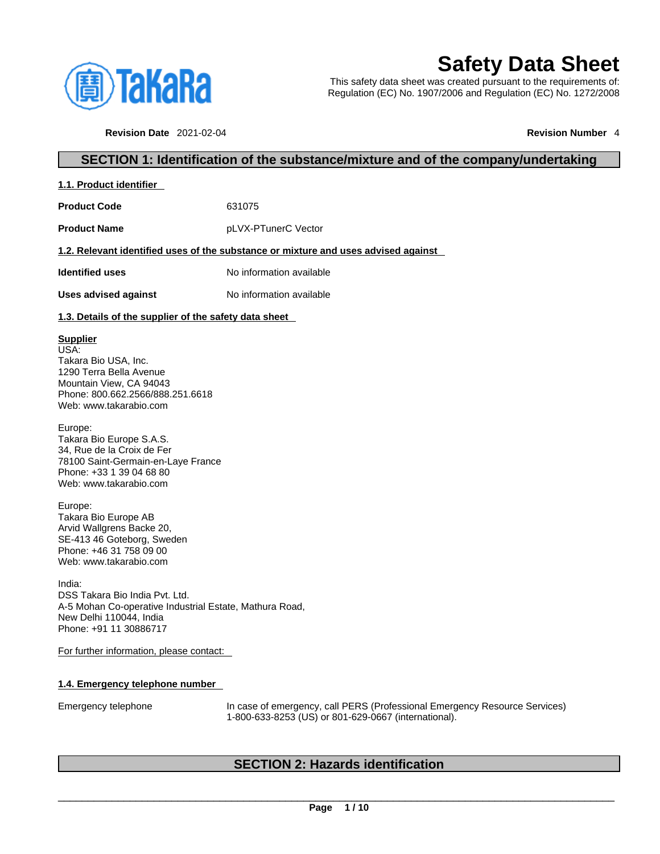

# **Safety Data Sheet**

This safety data sheet was created pursuant to the requirements of: Regulation (EC) No. 1907/2006 and Regulation (EC) No. 1272/2008

**Revision Date** 2021-02-04 **Revision Number** 4

# **SECTION 1: Identification of the substance/mixture and of the company/undertaking**

| 1.1. Product identifier |
|-------------------------|
|-------------------------|

**Product Code** 631075

**Product Name** pLVX-PTunerC Vector

# **1.2. Relevant identified uses of the substance or mixture and uses advised against**

**Identified uses** No information available

**Uses advised against** No information available

# **1.3. Details of the supplier of the safety data sheet**

# **Supplier**

USA: Takara Bio USA, Inc. 1290 Terra Bella Avenue Mountain View, CA 94043 Phone: 800.662.2566/888.251.6618 Web: www.takarabio.com

Europe: Takara Bio Europe S.A.S. 34, Rue de la Croix de Fer 78100 Saint-Germain-en-Laye France Phone: +33 1 39 04 68 80 Web: www.takarabio.com

Europe: Takara Bio Europe AB Arvid Wallgrens Backe 20, SE-413 46 Goteborg, Sweden Phone: +46 31 758 09 00 Web: www.takarabio.com

India: DSS Takara Bio India Pvt. Ltd. A-5 Mohan Co-operative Industrial Estate, Mathura Road, New Delhi 110044, India Phone: +91 11 30886717

For further information, please contact:

# **1.4. Emergency telephone number**

Emergency telephone In case of emergency, call PERS (Professional Emergency Resource Services) 1-800-633-8253 (US) or 801-629-0667 (international).

# **SECTION 2: Hazards identification**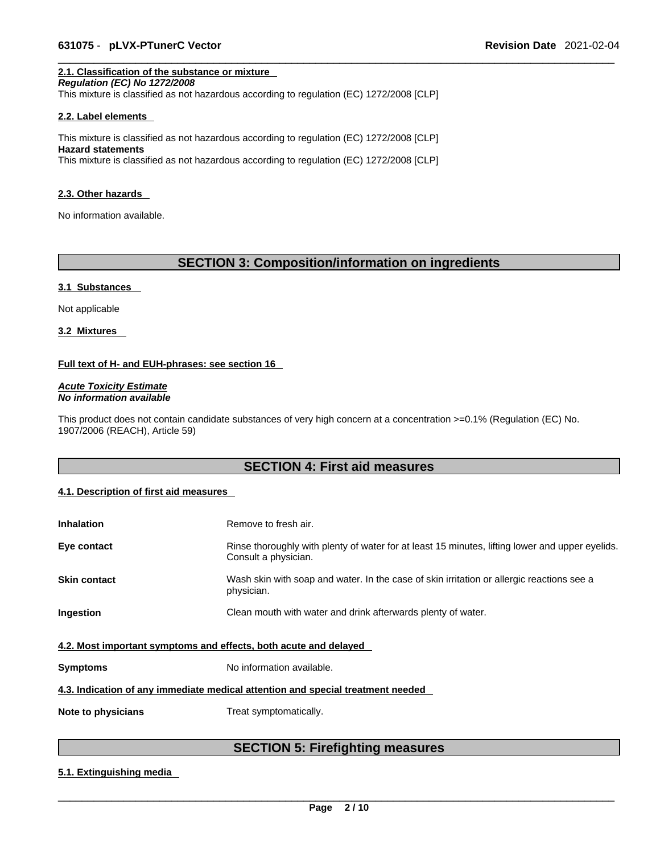# **2.1. Classification of the substance or mixture**

*Regulation (EC) No 1272/2008* 

This mixture is classified as not hazardous according to regulation (EC) 1272/2008 [CLP]

#### **2.2. Label elements**

This mixture is classified as not hazardous according to regulation (EC) 1272/2008 [CLP] **Hazard statements** This mixture is classified as not hazardous according to regulation (EC) 1272/2008 [CLP]

#### **2.3. Other hazards**

No information available.

# **SECTION 3: Composition/information on ingredients**

#### **3.1 Substances**

Not applicable

**3.2 Mixtures** 

# **Full text of H- and EUH-phrases: see section 16**

*Acute Toxicity Estimate No information available* 

This product does not contain candidate substances of very high concern at a concentration >=0.1% (Regulation (EC) No. 1907/2006 (REACH), Article 59)

# **SECTION 4: First aid measures**

# **4.1. Description of first aid measures**

| <b>Inhalation</b>                                                               | Remove to fresh air.                                                                                                    |  |  |
|---------------------------------------------------------------------------------|-------------------------------------------------------------------------------------------------------------------------|--|--|
| Eye contact                                                                     | Rinse thoroughly with plenty of water for at least 15 minutes, lifting lower and upper eyelids.<br>Consult a physician. |  |  |
| <b>Skin contact</b>                                                             | Wash skin with soap and water. In the case of skin irritation or allergic reactions see a<br>physician.                 |  |  |
| Ingestion                                                                       | Clean mouth with water and drink afterwards plenty of water.                                                            |  |  |
| 4.2. Most important symptoms and effects, both acute and delayed                |                                                                                                                         |  |  |
| <b>Symptoms</b>                                                                 | No information available.                                                                                               |  |  |
| 4.3. Indication of any immediate medical attention and special treatment needed |                                                                                                                         |  |  |
| Note to physicians                                                              | Treat symptomatically.                                                                                                  |  |  |

# **SECTION 5: Firefighting measures**

# **5.1. Extinguishing media**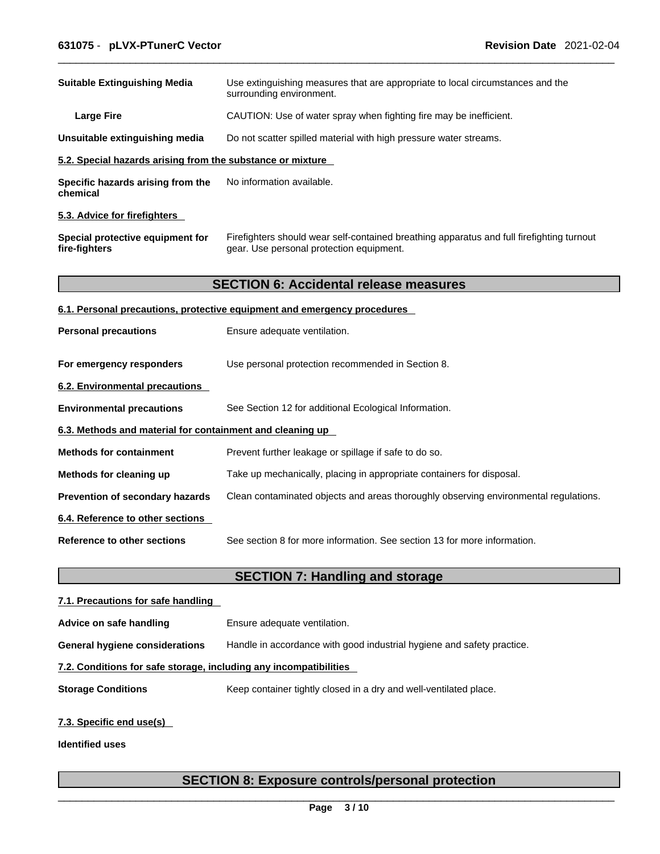| <b>Suitable Extinguishing Media</b>                        | Use extinguishing measures that are appropriate to local circumstances and the<br>surrounding environment.                            |
|------------------------------------------------------------|---------------------------------------------------------------------------------------------------------------------------------------|
| <b>Large Fire</b>                                          | CAUTION: Use of water spray when fighting fire may be inefficient.                                                                    |
| Unsuitable extinguishing media                             | Do not scatter spilled material with high pressure water streams.                                                                     |
| 5.2. Special hazards arising from the substance or mixture |                                                                                                                                       |
| Specific hazards arising from the<br>chemical              | No information available.                                                                                                             |
| 5.3. Advice for firefighters                               |                                                                                                                                       |
| Special protective equipment for<br>fire-fighters          | Firefighters should wear self-contained breathing apparatus and full firefighting turnout<br>gear. Use personal protection equipment. |
|                                                            | <b>SECTION 6: Accidental release measures</b>                                                                                         |
|                                                            | 6.1. Personal precautions, protective equipment and emergency procedures                                                              |
| <b>Personal precautions</b>                                | Ensure adequate ventilation.                                                                                                          |
| For emergency responders                                   | Use personal protection recommended in Section 8.                                                                                     |
| 6.2. Environmental precautions                             |                                                                                                                                       |
| <b>Environmental precautions</b>                           | See Section 12 for additional Ecological Information.                                                                                 |
| 6.3. Methods and material for containment and cleaning up  |                                                                                                                                       |
| <b>Methods for containment</b>                             | Prevent further leakage or spillage if safe to do so.                                                                                 |
| Methods for cleaning up                                    | Take up mechanically, placing in appropriate containers for disposal.                                                                 |
| Prevention of secondary hazards                            | Clean contaminated objects and areas thoroughly observing environmental regulations.                                                  |
| 6.4. Reference to other sections                           |                                                                                                                                       |
| <b>Reference to other sections</b>                         | See section 8 for more information. See section 13 for more information.                                                              |
|                                                            | <b>SECTION 7: Handling and storage</b>                                                                                                |
| 7.1. Precautions for safe handling                         |                                                                                                                                       |
| Advice on safe handling                                    | Ensure adequate ventilation.                                                                                                          |

**General hygiene considerations** Handle in accordance with good industrial hygiene and safety practice.

# **7.2. Conditions for safe storage, including any incompatibilities**

**Storage Conditions** Keep container tightly closed in a dry and well-ventilated place.

# **7.3. Specific end use(s)**

**Identified uses**

# **SECTION 8: Exposure controls/personal protection**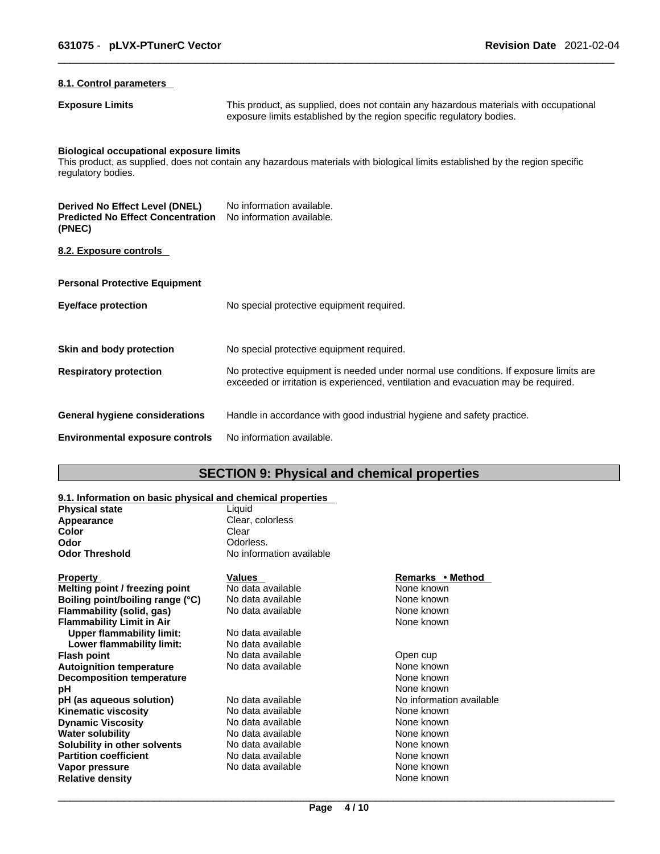# **8.1. Control parameters**

**Exposure Limits** This product, as supplied, does not contain any hazardous materials with occupational exposure limits established by the region specific regulatory bodies.

# **Biological occupational exposure limits**

This product, as supplied, does not contain any hazardous materials with biological limits established by the region specific regulatory bodies.

| Derived No Effect Level (DNEL)<br><b>Predicted No Effect Concentration</b><br>(PNEC) | No information available.<br>No information available.                                                                                                                      |
|--------------------------------------------------------------------------------------|-----------------------------------------------------------------------------------------------------------------------------------------------------------------------------|
| 8.2. Exposure controls                                                               |                                                                                                                                                                             |
| <b>Personal Protective Equipment</b>                                                 |                                                                                                                                                                             |
| Eye/face protection                                                                  | No special protective equipment required.                                                                                                                                   |
| Skin and body protection                                                             | No special protective equipment required.                                                                                                                                   |
| <b>Respiratory protection</b>                                                        | No protective equipment is needed under normal use conditions. If exposure limits are<br>exceeded or irritation is experienced, ventilation and evacuation may be required. |
| General hygiene considerations                                                       | Handle in accordance with good industrial hygiene and safety practice.                                                                                                      |
| <b>Environmental exposure controls</b>                                               | No information available.                                                                                                                                                   |

# **SECTION 9: Physical and chemical properties**

# **9.1. Information on basic physical and chemical properties**

| <b>Physical state</b>          | Liauid                   |                  |
|--------------------------------|--------------------------|------------------|
| Appearance                     | Clear, colorless         |                  |
| Color                          | Clear                    |                  |
| Odor                           | Odorless.                |                  |
| <b>Odor Threshold</b>          | No information available |                  |
| <b>Property</b>                | <b>Values</b>            | Remarks • Method |
| Melting point / freezing point | No data available        | None known       |

| <b>Property</b>                  | Values            | Remarks • Method         |
|----------------------------------|-------------------|--------------------------|
| Melting point / freezing point   | No data available | None known               |
| Boiling point/boiling range (°C) | No data available | None known               |
| Flammability (solid, gas)        | No data available | None known               |
| <b>Flammability Limit in Air</b> |                   | None known               |
| <b>Upper flammability limit:</b> | No data available |                          |
| Lower flammability limit:        | No data available |                          |
| <b>Flash point</b>               | No data available | Open cup                 |
| <b>Autoignition temperature</b>  | No data available | None known               |
| <b>Decomposition temperature</b> |                   | None known               |
| рH                               |                   | None known               |
| pH (as aqueous solution)         | No data available | No information available |
| <b>Kinematic viscosity</b>       | No data available | None known               |
| <b>Dynamic Viscosity</b>         | No data available | None known               |
| <b>Water solubility</b>          | No data available | None known               |
| Solubility in other solvents     | No data available | None known               |
| <b>Partition coefficient</b>     | No data available | None known               |
| Vapor pressure                   | No data available | None known               |
| <b>Relative density</b>          |                   | None known               |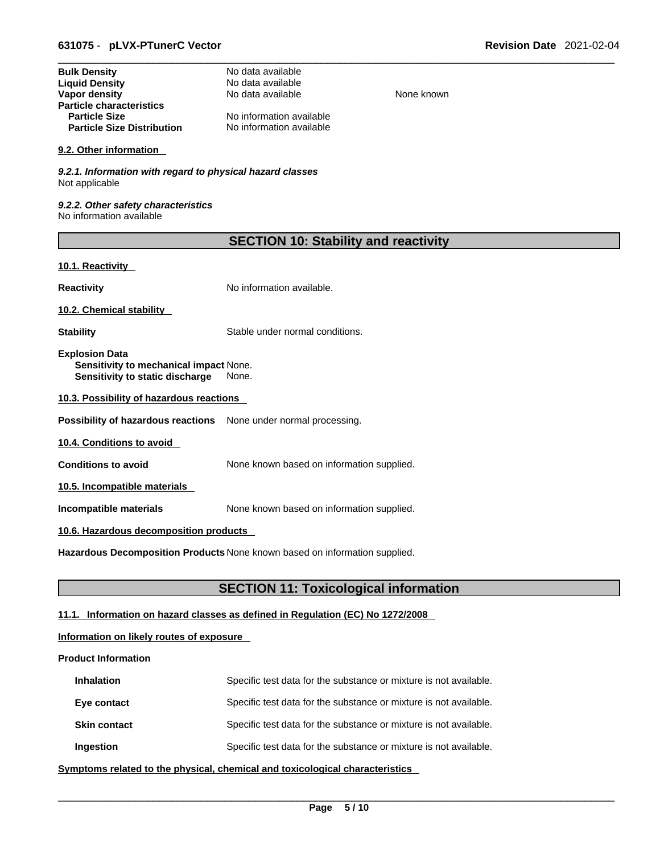| No data available        |
|--------------------------|
| No data available        |
| No data available        |
|                          |
| No information available |
| No information available |
|                          |

#### **9.2. Other information**

*9.2.1. Information with regard to physical hazard classes* Not applicable

*9.2.2. Other safety characteristics* No information available

| <b>SECTION 10: Stability and reactivity</b> |  |
|---------------------------------------------|--|
|---------------------------------------------|--|

**None known** 

# **10.1. Reactivity**

**Reactivity No information available.** 

**10.2. Chemical stability** 

**Stability** Stable under normal conditions.

**Explosion Data Sensitivity to mechanical impact** None. **Sensitivity to static discharge** None.

**10.3. Possibility of hazardous reactions**

**Possibility of hazardous reactions** None under normal processing.

**10.4. Conditions to avoid** 

**Conditions to avoid** None known based on information supplied.

**10.5. Incompatible materials**

**Incompatible materials** None known based on information supplied.

# **10.6. Hazardous decomposition products**

**Hazardous Decomposition Products** None known based on information supplied.

# **SECTION 11: Toxicological information**

# **11.1. Information on hazard classes as defined in Regulation (EC) No 1272/2008**

# **Information on likely routes of exposure**

# **Product Information**

| <b>Inhalation</b>   | Specific test data for the substance or mixture is not available. |
|---------------------|-------------------------------------------------------------------|
| Eye contact         | Specific test data for the substance or mixture is not available. |
| <b>Skin contact</b> | Specific test data for the substance or mixture is not available. |
| Ingestion           | Specific test data for the substance or mixture is not available. |

**<u>Symptoms related to the physical, chemical and toxicological characteristics</u>**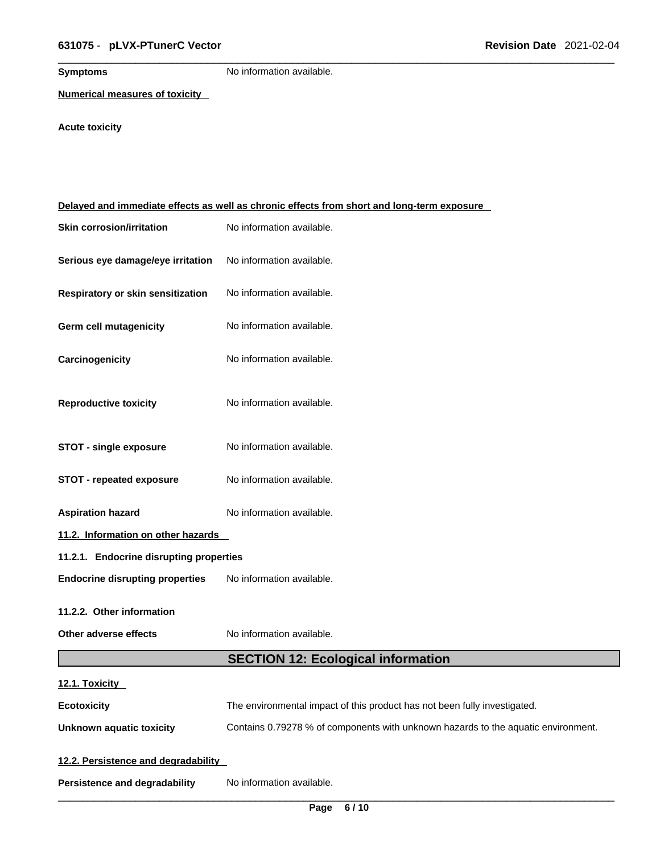**Symptoms** No information available.

**Numerical measures of toxicity**

# **Acute toxicity**

| Delayed and immediate effects as well as chronic effects from short and long-term exposure |                                                                                   |  |  |
|--------------------------------------------------------------------------------------------|-----------------------------------------------------------------------------------|--|--|
| <b>Skin corrosion/irritation</b>                                                           | No information available.                                                         |  |  |
| Serious eye damage/eye irritation                                                          | No information available.                                                         |  |  |
| Respiratory or skin sensitization                                                          | No information available.                                                         |  |  |
| <b>Germ cell mutagenicity</b>                                                              | No information available.                                                         |  |  |
| Carcinogenicity                                                                            | No information available.                                                         |  |  |
| <b>Reproductive toxicity</b>                                                               | No information available.                                                         |  |  |
| <b>STOT - single exposure</b>                                                              | No information available.                                                         |  |  |
| <b>STOT - repeated exposure</b>                                                            | No information available.                                                         |  |  |
| <b>Aspiration hazard</b>                                                                   | No information available.                                                         |  |  |
| 11.2. Information on other hazards                                                         |                                                                                   |  |  |
| 11.2.1. Endocrine disrupting properties                                                    |                                                                                   |  |  |
| <b>Endocrine disrupting properties</b>                                                     | No information available.                                                         |  |  |
| 11.2.2. Other information                                                                  |                                                                                   |  |  |
| Other adverse effects                                                                      | No information available.                                                         |  |  |
|                                                                                            | <b>SECTION 12: Ecological information</b>                                         |  |  |
| 12.1. Toxicity                                                                             |                                                                                   |  |  |
| <b>Ecotoxicity</b>                                                                         | The environmental impact of this product has not been fully investigated.         |  |  |
| Unknown aquatic toxicity                                                                   | Contains 0.79278 % of components with unknown hazards to the aquatic environment. |  |  |
| 12.2. Persistence and degradability                                                        |                                                                                   |  |  |
|                                                                                            |                                                                                   |  |  |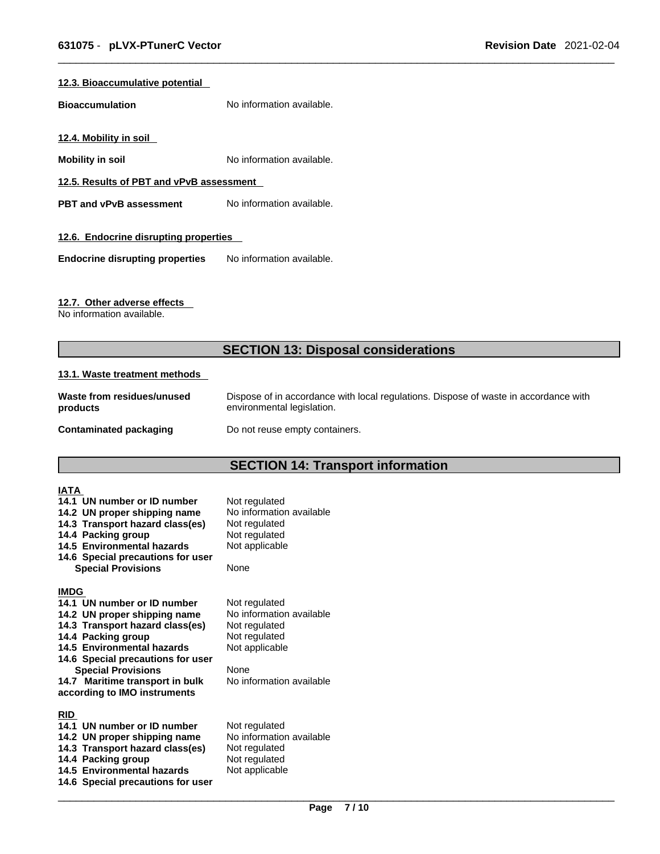# **12.3. Bioaccumulative potential**

**Bioaccumulation** No information available.

**12.4. Mobility in soil** 

**Mobility in soil Mobility in soil No** information available.

**12.5. Results of PBT and vPvB assessment**

**PBT** and **vPvB** assessment No information available.

# **12.6. Endocrine disrupting properties**

**Endocrine disrupting properties** No information available.

# **12.7. Other adverse effects**

No information available.

# **SECTION 13: Disposal considerations**

#### **13.1. Waste treatment methods**

| Waste from residues/unused    | Dispose of in accordance with local regulations. Dispose of waste in accordance with |
|-------------------------------|--------------------------------------------------------------------------------------|
| products                      | environmental legislation.                                                           |
| <b>Contaminated packaging</b> | Do not reuse empty containers.                                                       |

# **SECTION 14: Transport information**

| IATA        |                                                             |                                           |
|-------------|-------------------------------------------------------------|-------------------------------------------|
|             | 14.1 UN number or ID number<br>14.2 UN proper shipping name | Not regulated<br>No information available |
|             | 14.3 Transport hazard class(es)                             | Not regulated                             |
|             | 14.4 Packing group                                          | Not regulated                             |
|             | 14.5 Environmental hazards                                  | Not applicable                            |
|             | 14.6 Special precautions for user                           |                                           |
|             | <b>Special Provisions</b>                                   | None                                      |
| <b>IMDG</b> |                                                             |                                           |
|             | 14.1 UN number or ID number                                 | Not regulated                             |
|             | 14.2 UN proper shipping name                                | No information available                  |
|             | 14.3 Transport hazard class(es)                             | Not regulated                             |
|             | 14.4 Packing group                                          | Not regulated                             |
|             | 14.5 Environmental hazards                                  | Not applicable                            |
|             | 14.6 Special precautions for user                           |                                           |
|             | <b>Special Provisions</b>                                   | None                                      |
|             | 14.7 Maritime transport in bulk                             | No information available                  |
|             | according to IMO instruments                                |                                           |
| <b>RID</b>  |                                                             |                                           |
|             | 14.1 UN number or ID number                                 | Not regulated                             |
|             | 14.2 UN proper shipping name                                | No information available                  |
|             | 14.3 Transport hazard class(es)                             | Not regulated                             |
|             | 14.4 Packing group                                          | Not regulated                             |
|             | 14.5 Environmental hazards                                  | Not applicable                            |
|             | 14.6 Special precautions for user                           |                                           |
|             |                                                             |                                           |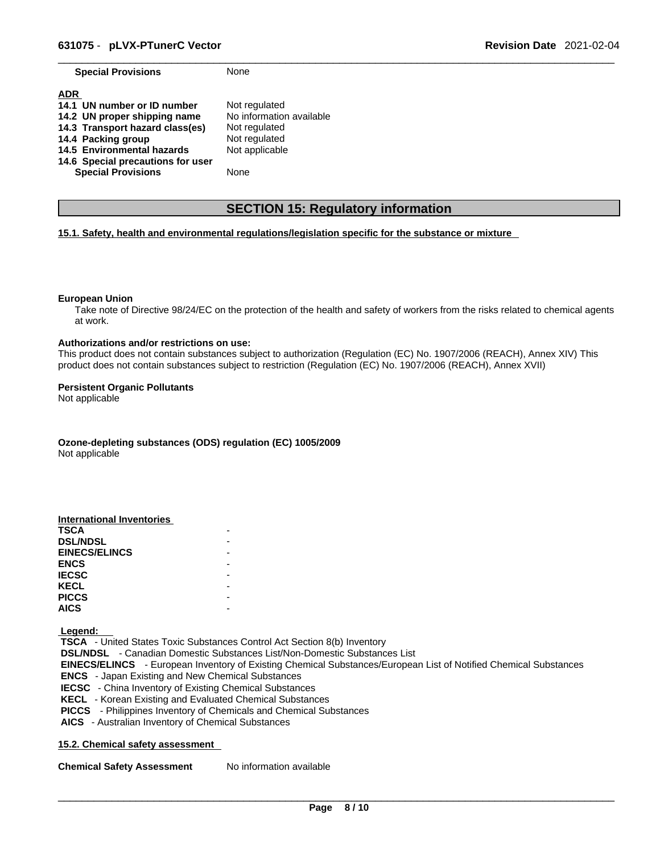**Special Provisions** None

| <b>ADR</b>                        |                          |
|-----------------------------------|--------------------------|
| 14.1 UN number or ID number       | Not regulated            |
| 14.2 UN proper shipping name      | No information available |
| 14.3 Transport hazard class(es)   | Not regulated            |
| 14.4 Packing group                | Not regulated            |
| 14.5 Environmental hazards        | Not applicable           |
| 14.6 Special precautions for user |                          |
| <b>Special Provisions</b>         | None                     |

# **SECTION 15: Regulatory information**

# **15.1. Safety, health and environmental regulations/legislation specific for the substance or mixture**

#### **European Union**

Take note of Directive 98/24/EC on the protection of the health and safety of workers from the risks related to chemical agents at work.

#### **Authorizations and/or restrictions on use:**

This product does not contain substances subject to authorization (Regulation (EC) No. 1907/2006 (REACH), Annex XIV) This product does not contain substances subject to restriction (Regulation (EC) No. 1907/2006 (REACH), Annex XVII)

#### **Persistent Organic Pollutants**

Not applicable

**Ozone-depleting substances (ODS) regulation (EC) 1005/2009**

Not applicable

| International Inventories |  |
|---------------------------|--|
| <b>TSCA</b>               |  |
| <b>DSL/NDSL</b>           |  |
| <b>EINECS/ELINCS</b>      |  |
| <b>ENCS</b>               |  |
| <b>IECSC</b>              |  |
| <b>KECL</b>               |  |
| <b>PICCS</b>              |  |
| <b>AICS</b>               |  |

 **Legend:** 

 **TSCA** - United States Toxic Substances Control Act Section 8(b) Inventory  **DSL/NDSL** - Canadian Domestic Substances List/Non-Domestic Substances List  **EINECS/ELINCS** - European Inventory of Existing Chemical Substances/European List of Notified Chemical Substances  **ENCS** - Japan Existing and New Chemical Substances  **IECSC** - China Inventory of Existing Chemical Substances  **KECL** - Korean Existing and Evaluated Chemical Substances  **PICCS** - Philippines Inventory of Chemicals and Chemical Substances  **AICS** - Australian Inventory of Chemical Substances

# **15.2. Chemical safety assessment**

**Chemical Safety Assessment** No information available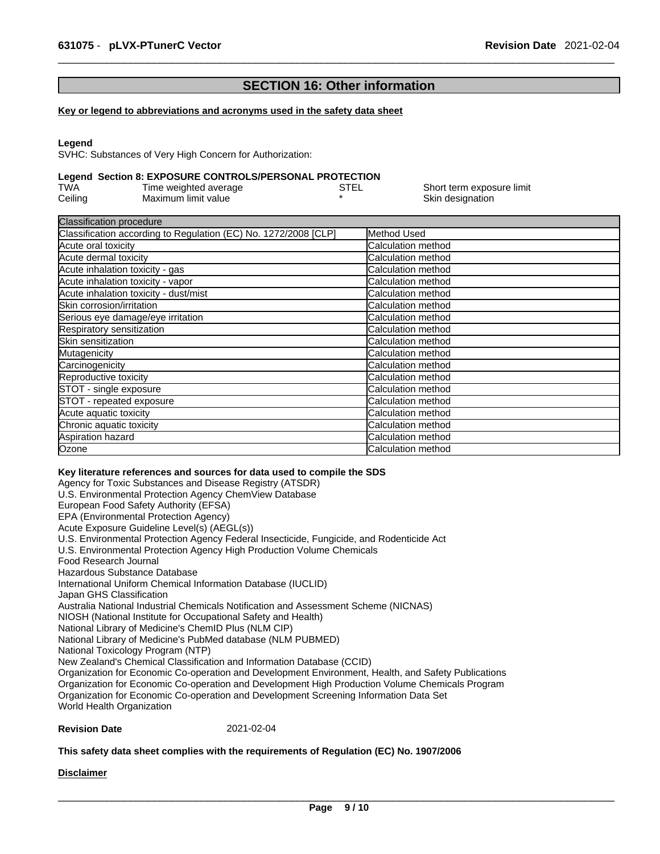# **SECTION 16: Other information**

#### **Key or legend to abbreviations and acronyms used in the safety data sheet**

#### **Legend**

SVHC: Substances of Very High Concern for Authorization:

# **Legend Section 8: EXPOSURE CONTROLS/PERSONAL PROTECTION**

| TWA     | Time weighted average | STEL | Short term exposure limit |
|---------|-----------------------|------|---------------------------|
| Ceiling | Maximum limit value   |      | Skin designation          |

| <b>Classification procedure</b>                                 |                            |
|-----------------------------------------------------------------|----------------------------|
| Classification according to Regulation (EC) No. 1272/2008 [CLP] | Method Used                |
| Acute oral toxicity                                             | Calculation method         |
| Acute dermal toxicity                                           | Calculation method         |
| Acute inhalation toxicity - gas                                 | Calculation method         |
| Acute inhalation toxicity - vapor                               | Calculation method         |
| Acute inhalation toxicity - dust/mist                           | <b>Calculation method</b>  |
| Skin corrosion/irritation                                       | <b>Calculation method</b>  |
| Serious eye damage/eye irritation                               | <b>Calculation method</b>  |
| Respiratory sensitization                                       | Calculation method         |
| <b>ISkin sensitization</b>                                      | Calculation method         |
| Mutagenicity                                                    | Calculation method         |
| Carcinogenicity                                                 | Calculation method         |
| Reproductive toxicity                                           | <b>Calculation method</b>  |
| STOT - single exposure                                          | <b>ICalculation method</b> |
| STOT - repeated exposure                                        | Calculation method         |
| Acute aquatic toxicity                                          | <b>Calculation method</b>  |
| Chronic aquatic toxicity                                        | Calculation method         |
| Aspiration hazard                                               | Calculation method         |
| Ozone                                                           | Calculation method         |

#### **Key literature references and sources for data used to compile the SDS**

Agency for Toxic Substances and Disease Registry (ATSDR) U.S. Environmental Protection Agency ChemView Database European Food Safety Authority (EFSA) EPA (Environmental Protection Agency) Acute Exposure Guideline Level(s) (AEGL(s)) U.S. Environmental Protection Agency Federal Insecticide, Fungicide, and Rodenticide Act U.S. Environmental Protection Agency High Production Volume Chemicals Food Research Journal Hazardous Substance Database International Uniform Chemical Information Database (IUCLID) Japan GHS Classification Australia National Industrial Chemicals Notification and Assessment Scheme (NICNAS) NIOSH (National Institute for Occupational Safety and Health) National Library of Medicine's ChemID Plus (NLM CIP) National Library of Medicine's PubMed database (NLM PUBMED) National Toxicology Program (NTP) New Zealand's Chemical Classification and Information Database (CCID) Organization for Economic Co-operation and Development Environment, Health, and Safety Publications Organization for Economic Co-operation and Development High Production Volume Chemicals Program Organization for Economic Co-operation and Development Screening Information Data Set World Health Organization

# **Revision Date** 2021-02-04

# **This safety data sheet complies with the requirements of Regulation (EC) No. 1907/2006**

**Disclaimer**